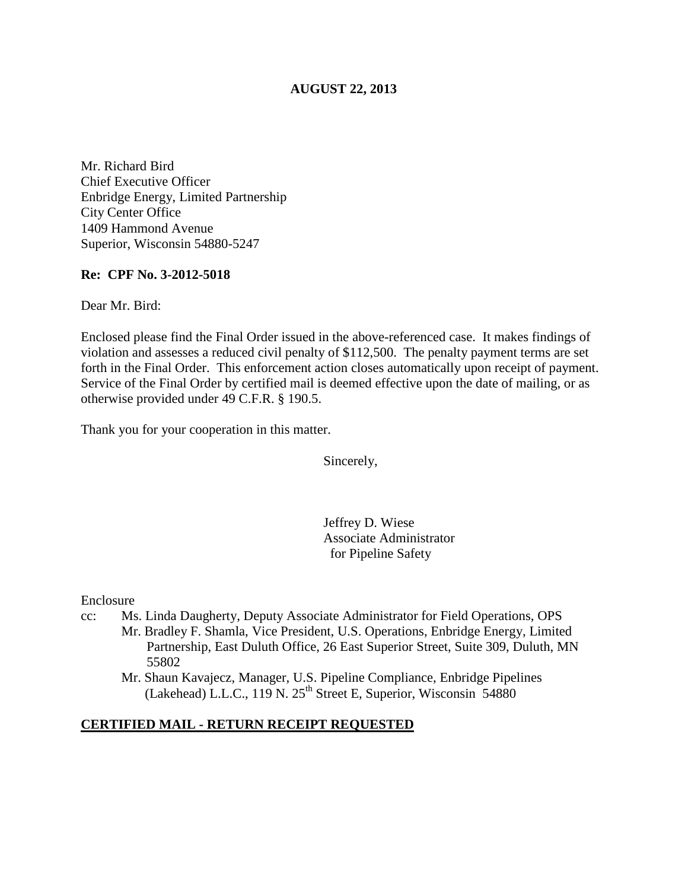# **AUGUST 22, 2013**

Mr. Richard Bird Chief Executive Officer Enbridge Energy, Limited Partnership City Center Office 1409 Hammond Avenue Superior, Wisconsin 54880-5247

#### **Re: CPF No. 3-2012-5018**

Dear Mr. Bird:

Enclosed please find the Final Order issued in the above-referenced case. It makes findings of violation and assesses a reduced civil penalty of \$112,500. The penalty payment terms are set forth in the Final Order. This enforcement action closes automatically upon receipt of payment. Service of the Final Order by certified mail is deemed effective upon the date of mailing, or as otherwise provided under 49 C.F.R. § 190.5.

Thank you for your cooperation in this matter.

Sincerely,

Jeffrey D. Wiese Associate Administrator for Pipeline Safety

Enclosure

- cc: Ms. Linda Daugherty, Deputy Associate Administrator for Field Operations, OPS
	- Mr. Bradley F. Shamla, Vice President, U.S. Operations, Enbridge Energy, Limited Partnership, East Duluth Office, 26 East Superior Street, Suite 309, Duluth, MN 55802
		- Mr. Shaun Kavajecz, Manager, U.S. Pipeline Compliance, Enbridge Pipelines  $(Lakehead)$  L.L.C., 119 N. 25<sup>th</sup> Street E, Superior, Wisconsin 54880

#### **CERTIFIED MAIL - RETURN RECEIPT REQUESTED**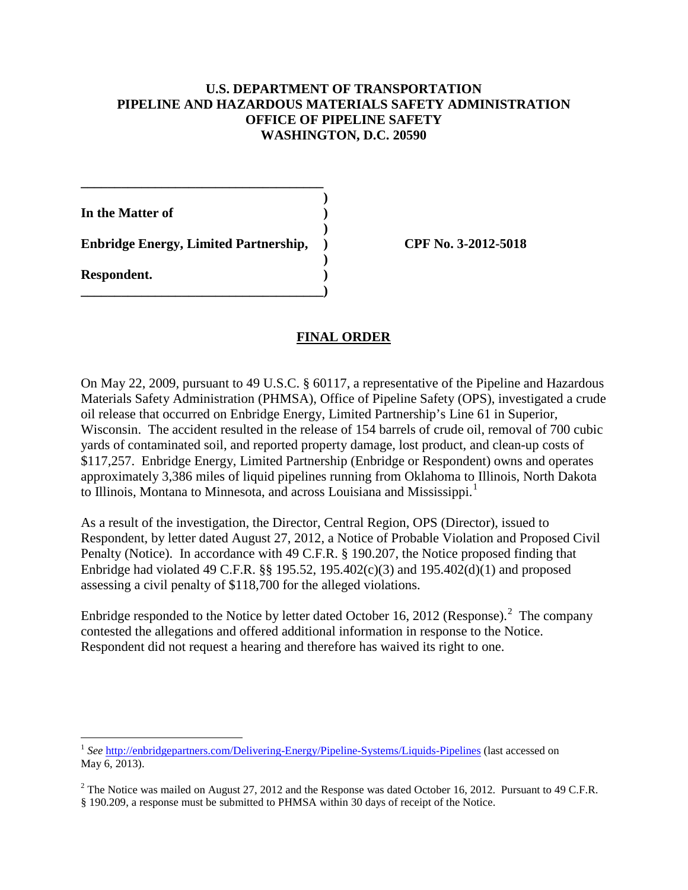### **U.S. DEPARTMENT OF TRANSPORTATION PIPELINE AND HAZARDOUS MATERIALS SAFETY ADMINISTRATION OFFICE OF PIPELINE SAFETY WASHINGTON, D.C. 20590**

**In the Matter of )** 

**Enbridge Energy, Limited Partnership, ) CPF No. 3-2012-5018**

 **)** 

 **)** 

**\_\_\_\_\_\_\_\_\_\_\_\_\_\_\_\_\_\_\_\_\_\_\_\_\_\_\_\_\_\_\_\_\_\_\_\_)** 

**\_\_\_\_\_\_\_\_\_\_\_\_\_\_\_\_\_\_\_\_\_\_\_\_\_\_\_\_\_\_\_\_\_\_\_\_ )** 

**Respondent. )** 

# **FINAL ORDER**

On May 22, 2009, pursuant to 49 U.S.C. § 60117, a representative of the Pipeline and Hazardous Materials Safety Administration (PHMSA), Office of Pipeline Safety (OPS), investigated a crude oil release that occurred on Enbridge Energy, Limited Partnership's Line 61 in Superior, Wisconsin. The accident resulted in the release of 154 barrels of crude oil, removal of 700 cubic yards of contaminated soil, and reported property damage, lost product, and clean-up costs of \$117,257. Enbridge Energy, Limited Partnership (Enbridge or Respondent) owns and operates approximately 3,386 miles of liquid pipelines running from Oklahoma to Illinois, North Dakota to Illinois, Montana to Minnesota, and across Louisiana and Mississippi.<sup>1</sup>

As a result of the investigation, the Director, Central Region, OPS (Director), issued to Respondent, by letter dated August 27, 2012, a Notice of Probable Violation and Proposed Civil Penalty (Notice). In accordance with 49 C.F.R. § 190.207, the Notice proposed finding that Enbridge had violated 49 C.F.R. §§ 195.52, 195.402(c)(3) and 195.402(d)(1) and proposed assessing a civil penalty of \$118,700 for the alleged violations.

Enbridge responded to the Notice by letter dated October 16, 2012 (Response).<sup>2</sup> The company contested the allegations and offered additional information in response to the Notice. Respondent did not request a hearing and therefore has waived its right to one.

 $\overline{a}$ <sup>1</sup> See http://enbridgepartners.com/Delivering-Energy/Pipeline-Systems/Liquids-Pipelines (last accessed on May 6, 2013).

 $^{2}$  The Notice was mailed on August 27, 2012 and the Response was dated October 16, 2012. Pursuant to 49 C.F.R. § 190.209, a response must be submitted to PHMSA within 30 days of receipt of the Notice.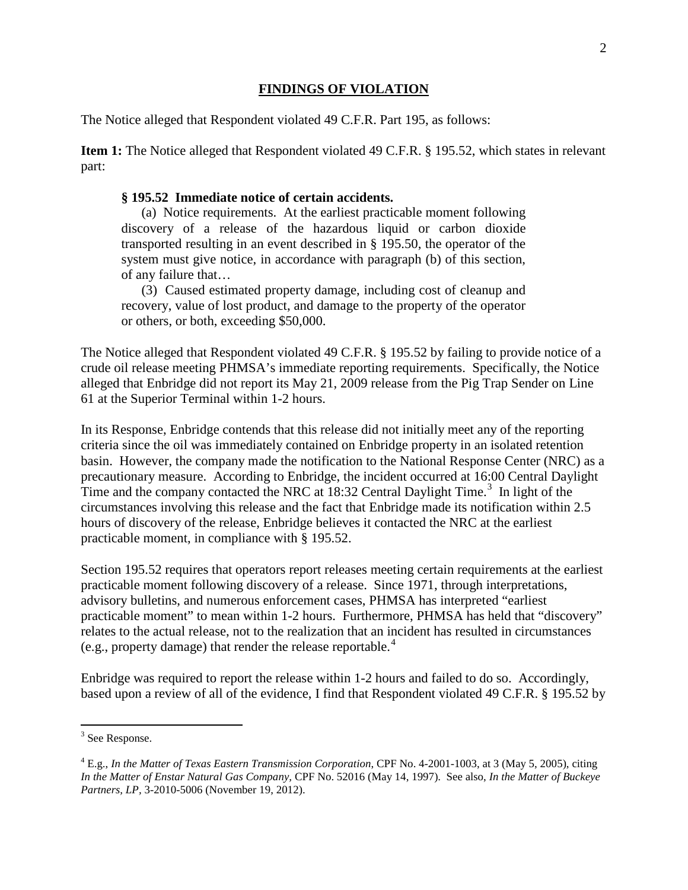## **FINDINGS OF VIOLATION**

The Notice alleged that Respondent violated 49 C.F.R. Part 195, as follows:

**Item 1:** The Notice alleged that Respondent violated 49 C.F.R. § 195.52, which states in relevant part:

#### **§ 195.52 Immediate notice of certain accidents.**

(a) Notice requirements. At the earliest practicable moment following discovery of a release of the hazardous liquid or carbon dioxide transported resulting in an event described in § 195.50, the operator of the system must give notice, in accordance with paragraph (b) of this section, of any failure that…

(3) Caused estimated property damage, including cost of cleanup and recovery, value of lost product, and damage to the property of the operator or others, or both, exceeding \$50,000.

The Notice alleged that Respondent violated 49 C.F.R. § 195.52 by failing to provide notice of a crude oil release meeting PHMSA's immediate reporting requirements. Specifically, the Notice alleged that Enbridge did not report its May 21, 2009 release from the Pig Trap Sender on Line 61 at the Superior Terminal within 1-2 hours.

In its Response, Enbridge contends that this release did not initially meet any of the reporting criteria since the oil was immediately contained on Enbridge property in an isolated retention basin. However, the company made the notification to the National Response Center (NRC) as a precautionary measure. According to Enbridge, the incident occurred at 16:00 Central Daylight Time and the company contacted the NRC at  $18:32$  Central Daylight Time.<sup>3</sup> In light of the circumstances involving this release and the fact that Enbridge made its notification within 2.5 hours of discovery of the release, Enbridge believes it contacted the NRC at the earliest practicable moment, in compliance with § 195.52.

Section 195.52 requires that operators report releases meeting certain requirements at the earliest practicable moment following discovery of a release. Since 1971, through interpretations, advisory bulletins, and numerous enforcement cases, PHMSA has interpreted "earliest practicable moment" to mean within 1-2 hours. Furthermore, PHMSA has held that "discovery" relates to the actual release, not to the realization that an incident has resulted in circumstances (e.g., property damage) that render the release reportable.<sup>4</sup>

Enbridge was required to report the release within 1-2 hours and failed to do so. Accordingly, based upon a review of all of the evidence, I find that Respondent violated 49 C.F.R. § 195.52 by

 $\overline{a}$ 

<sup>&</sup>lt;sup>3</sup> See Response.

<sup>4</sup> E.g., *In the Matter of Texas Eastern Transmission Corporation*, CPF No. 4-2001-1003, at 3 (May 5, 2005), citing *In the Matter of Enstar Natural Gas Company,* CPF No. 52016 (May 14, 1997). See also, *In the Matter of Buckeye Partners, LP,* 3-2010-5006 (November 19, 2012).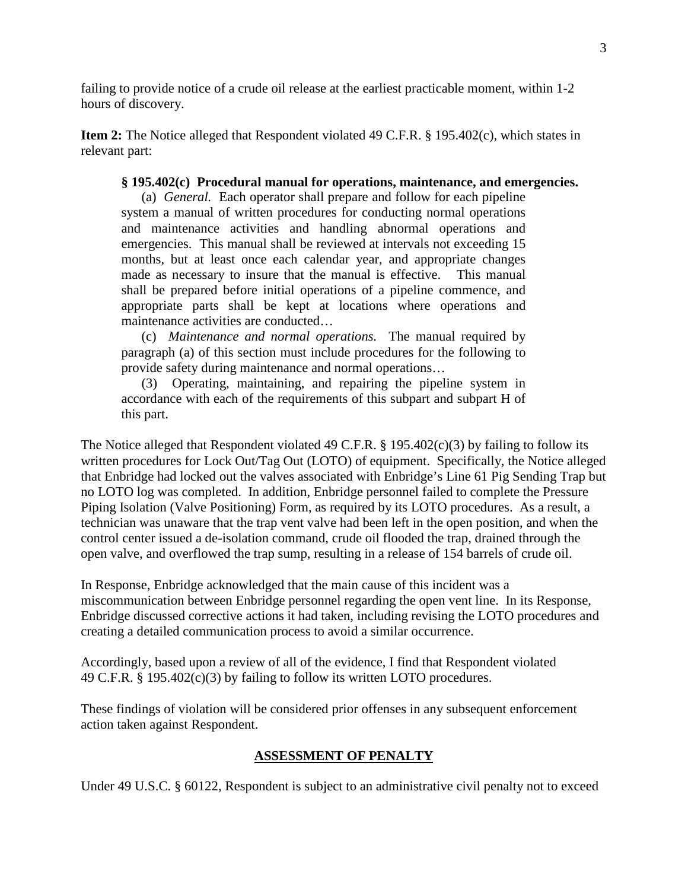failing to provide notice of a crude oil release at the earliest practicable moment, within 1-2 hours of discovery.

**Item 2:** The Notice alleged that Respondent violated 49 C.F.R. § 195.402(c), which states in relevant part:

#### **§ 195.402(c) Procedural manual for operations, maintenance, and emergencies.**

(a) *General.* Each operator shall prepare and follow for each pipeline system a manual of written procedures for conducting normal operations and maintenance activities and handling abnormal operations and emergencies. This manual shall be reviewed at intervals not exceeding 15 months, but at least once each calendar year, and appropriate changes made as necessary to insure that the manual is effective. This manual shall be prepared before initial operations of a pipeline commence, and appropriate parts shall be kept at locations where operations and maintenance activities are conducted…

(c) *Maintenance and normal operations.* The manual required by paragraph (a) of this section must include procedures for the following to provide safety during maintenance and normal operations…

(3) Operating, maintaining, and repairing the pipeline system in accordance with each of the requirements of this subpart and subpart H of this part.

The Notice alleged that Respondent violated 49 C.F.R. § 195.402 $(c)(3)$  by failing to follow its written procedures for Lock Out/Tag Out (LOTO) of equipment. Specifically, the Notice alleged that Enbridge had locked out the valves associated with Enbridge's Line 61 Pig Sending Trap but no LOTO log was completed. In addition, Enbridge personnel failed to complete the Pressure Piping Isolation (Valve Positioning) Form, as required by its LOTO procedures. As a result, a technician was unaware that the trap vent valve had been left in the open position, and when the control center issued a de-isolation command, crude oil flooded the trap, drained through the open valve, and overflowed the trap sump, resulting in a release of 154 barrels of crude oil.

In Response, Enbridge acknowledged that the main cause of this incident was a miscommunication between Enbridge personnel regarding the open vent line. In its Response, Enbridge discussed corrective actions it had taken, including revising the LOTO procedures and creating a detailed communication process to avoid a similar occurrence.

Accordingly, based upon a review of all of the evidence, I find that Respondent violated 49 C.F.R. § 195.402(c)(3) by failing to follow its written LOTO procedures.

These findings of violation will be considered prior offenses in any subsequent enforcement action taken against Respondent.

# **ASSESSMENT OF PENALTY**

Under 49 U.S.C. § 60122, Respondent is subject to an administrative civil penalty not to exceed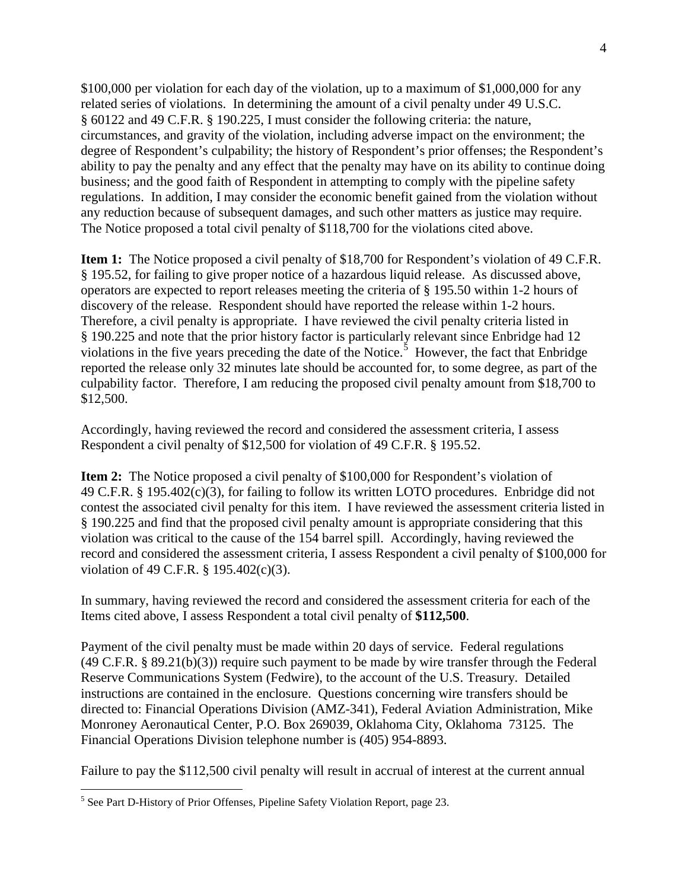\$100,000 per violation for each day of the violation, up to a maximum of \$1,000,000 for any related series of violations. In determining the amount of a civil penalty under 49 U.S.C. § 60122 and 49 C.F.R. § 190.225, I must consider the following criteria: the nature, circumstances, and gravity of the violation, including adverse impact on the environment; the degree of Respondent's culpability; the history of Respondent's prior offenses; the Respondent's ability to pay the penalty and any effect that the penalty may have on its ability to continue doing business; and the good faith of Respondent in attempting to comply with the pipeline safety regulations. In addition, I may consider the economic benefit gained from the violation without any reduction because of subsequent damages, and such other matters as justice may require. The Notice proposed a total civil penalty of \$118,700 for the violations cited above.

**Item 1:** The Notice proposed a civil penalty of \$18,700 for Respondent's violation of 49 C.F.R. § 195.52, for failing to give proper notice of a hazardous liquid release. As discussed above, operators are expected to report releases meeting the criteria of § 195.50 within 1-2 hours of discovery of the release. Respondent should have reported the release within 1-2 hours. Therefore, a civil penalty is appropriate. I have reviewed the civil penalty criteria listed in § 190.225 and note that the prior history factor is particularly relevant since Enbridge had 12 violations in the five years preceding the date of the Notice.<sup>5</sup> However, the fact that Enbridge reported the release only 32 minutes late should be accounted for, to some degree, as part of the culpability factor. Therefore, I am reducing the proposed civil penalty amount from \$18,700 to \$12,500.

Accordingly, having reviewed the record and considered the assessment criteria, I assess Respondent a civil penalty of \$12,500 for violation of 49 C.F.R. § 195.52.

**Item 2:** The Notice proposed a civil penalty of \$100,000 for Respondent's violation of 49 C.F.R. § 195.402(c)(3), for failing to follow its written LOTO procedures. Enbridge did not contest the associated civil penalty for this item. I have reviewed the assessment criteria listed in § 190.225 and find that the proposed civil penalty amount is appropriate considering that this violation was critical to the cause of the 154 barrel spill. Accordingly, having reviewed the record and considered the assessment criteria, I assess Respondent a civil penalty of \$100,000 for violation of 49 C.F.R. § 195.402(c)(3).

In summary, having reviewed the record and considered the assessment criteria for each of the Items cited above, I assess Respondent a total civil penalty of **\$112,500**.

Payment of the civil penalty must be made within 20 days of service. Federal regulations (49 C.F.R. § 89.21(b)(3)) require such payment to be made by wire transfer through the Federal Reserve Communications System (Fedwire), to the account of the U.S. Treasury. Detailed instructions are contained in the enclosure. Questions concerning wire transfers should be directed to: Financial Operations Division (AMZ-341), Federal Aviation Administration, Mike Monroney Aeronautical Center, P.O. Box 269039, Oklahoma City, Oklahoma 73125. The Financial Operations Division telephone number is (405) 954-8893.

Failure to pay the \$112,500 civil penalty will result in accrual of interest at the current annual

 $\overline{a}$ 

<sup>5</sup> See Part D-History of Prior Offenses, Pipeline Safety Violation Report, page 23.